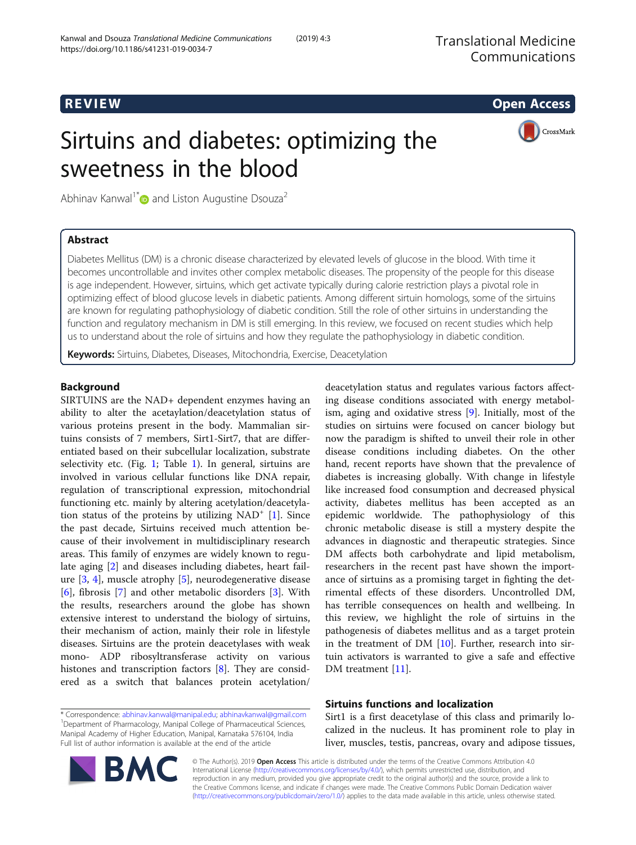## R EVI EW Open Access

# Sirtuins and diabetes: optimizing the sweetness in the blood



Abhinav Kanwal<sup>1\*</sup> and Liston Augustine Dsouza<sup>2</sup>

## Abstract

Diabetes Mellitus (DM) is a chronic disease characterized by elevated levels of glucose in the blood. With time it becomes uncontrollable and invites other complex metabolic diseases. The propensity of the people for this disease is age independent. However, sirtuins, which get activate typically during calorie restriction plays a pivotal role in optimizing effect of blood glucose levels in diabetic patients. Among different sirtuin homologs, some of the sirtuins are known for regulating pathophysiology of diabetic condition. Still the role of other sirtuins in understanding the function and regulatory mechanism in DM is still emerging. In this review, we focused on recent studies which help us to understand about the role of sirtuins and how they regulate the pathophysiology in diabetic condition.

Keywords: Sirtuins, Diabetes, Diseases, Mitochondria, Exercise, Deacetylation

## Background

SIRTUINS are the NAD+ dependent enzymes having an ability to alter the acetaylation/deacetylation status of various proteins present in the body. Mammalian sirtuins consists of 7 members, Sirt1-Sirt7, that are differentiated based on their subcellular localization, substrate selectivity etc. (Fig. [1;](#page-1-0) Table [1](#page-1-0)). In general, sirtuins are involved in various cellular functions like DNA repair, regulation of transcriptional expression, mitochondrial functioning etc. mainly by altering acetylation/deacetylation status of the proteins by utilizing  $NAD^+$  [[1](#page-6-0)]. Since the past decade, Sirtuins received much attention because of their involvement in multidisciplinary research areas. This family of enzymes are widely known to regulate aging [\[2](#page-6-0)] and diseases including diabetes, heart failure [[3](#page-6-0), [4\]](#page-6-0), muscle atrophy [\[5\]](#page-6-0), neurodegenerative disease [[6\]](#page-6-0), fibrosis [[7](#page-6-0)] and other metabolic disorders [\[3](#page-6-0)]. With the results, researchers around the globe has shown extensive interest to understand the biology of sirtuins, their mechanism of action, mainly their role in lifestyle diseases. Sirtuins are the protein deacetylases with weak mono- ADP ribosyltransferase activity on various histones and transcription factors [[8\]](#page-6-0). They are considered as a switch that balances protein acetylation/

\* Correspondence: [abhinav.kanwal@manipal.edu;](mailto:abhinav.kanwal@manipal.edu) [abhinavkanwal@gmail.com](mailto:abhinavkanwal@gmail.com) <sup>1</sup> <sup>1</sup>Department of Pharmacology, Manipal College of Pharmaceutical Sciences, Manipal Academy of Higher Education, Manipal, Karnataka 576104, India Full list of author information is available at the end of the article



## Sirtuins functions and localization

Sirt1 is a first deacetylase of this class and primarily localized in the nucleus. It has prominent role to play in liver, muscles, testis, pancreas, ovary and adipose tissues,



© The Author(s). 2019 Open Access This article is distributed under the terms of the Creative Commons Attribution 4.0 International License [\(http://creativecommons.org/licenses/by/4.0/](http://creativecommons.org/licenses/by/4.0/)), which permits unrestricted use, distribution, and reproduction in any medium, provided you give appropriate credit to the original author(s) and the source, provide a link to the Creative Commons license, and indicate if changes were made. The Creative Commons Public Domain Dedication waiver [\(http://creativecommons.org/publicdomain/zero/1.0/](http://creativecommons.org/publicdomain/zero/1.0/)) applies to the data made available in this article, unless otherwise stated.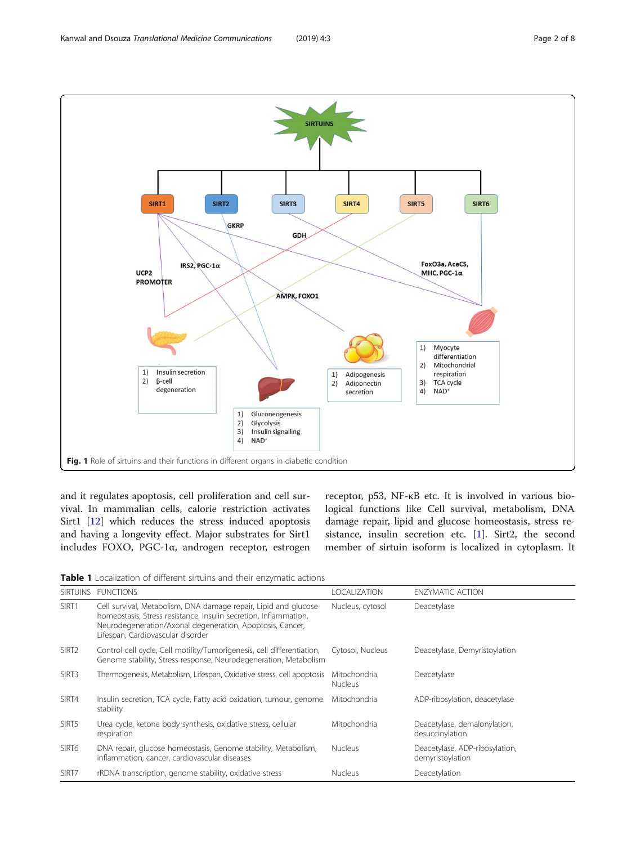<span id="page-1-0"></span>

and it regulates apoptosis, cell proliferation and cell survival. In mammalian cells, calorie restriction activates Sirt1 [\[12](#page-6-0)] which reduces the stress induced apoptosis and having a longevity effect. Major substrates for Sirt1 includes FOXO, PGC-1α, androgen receptor, estrogen receptor, p53, NF-κB etc. It is involved in various biological functions like Cell survival, metabolism, DNA damage repair, lipid and glucose homeostasis, stress resistance, insulin secretion etc. [\[1](#page-6-0)]. Sirt2, the second member of sirtuin isoform is localized in cytoplasm. It

| Table 1 Localization of different sirtuins and their enzymatic actions |  |
|------------------------------------------------------------------------|--|
|------------------------------------------------------------------------|--|

| <b>SIRTUINS</b>   | <b>FUNCTIONS</b>                                                                                                                                                                                                                      | <b>LOCALIZATION</b>             | <b>ENZYMATIC ACTION</b>                            |
|-------------------|---------------------------------------------------------------------------------------------------------------------------------------------------------------------------------------------------------------------------------------|---------------------------------|----------------------------------------------------|
| SIRT1             | Cell survival, Metabolism, DNA damage repair, Lipid and glucose<br>homeostasis, Stress resistance, Insulin secretion, Inflammation,<br>Neurodegeneration/Axonal degeneration, Apoptosis, Cancer,<br>Lifespan, Cardiovascular disorder | Nucleus, cytosol                | Deacetylase                                        |
| SIRT <sub>2</sub> | Control cell cycle, Cell motility/Tumorigenesis, cell differentiation,<br>Genome stability, Stress response, Neurodegeneration, Metabolism                                                                                            | Cytosol, Nucleus                | Deacetylase, Demyristoylation                      |
| SIRT3             | Thermogenesis, Metabolism, Lifespan, Oxidative stress, cell apoptosis                                                                                                                                                                 | Mitochondria.<br><b>Nucleus</b> | Deacetylase                                        |
| SIRT4             | Insulin secretion, TCA cycle, Fatty acid oxidation, tumour, genome<br>stability                                                                                                                                                       | Mitochondria                    | ADP-ribosylation, deacetylase                      |
| SIRT5             | Urea cycle, ketone body synthesis, oxidative stress, cellular<br>respiration                                                                                                                                                          | Mitochondria                    | Deacetylase, demalonylation,<br>desuccinylation    |
| SIRT6             | DNA repair, glucose homeostasis, Genome stability, Metabolism,<br>inflammation, cancer, cardiovascular diseases                                                                                                                       | <b>Nucleus</b>                  | Deacetylase, ADP-ribosylation,<br>demyristoylation |
| SIRT7             | rRDNA transcription, genome stability, oxidative stress                                                                                                                                                                               | <b>Nucleus</b>                  | Deacetylation                                      |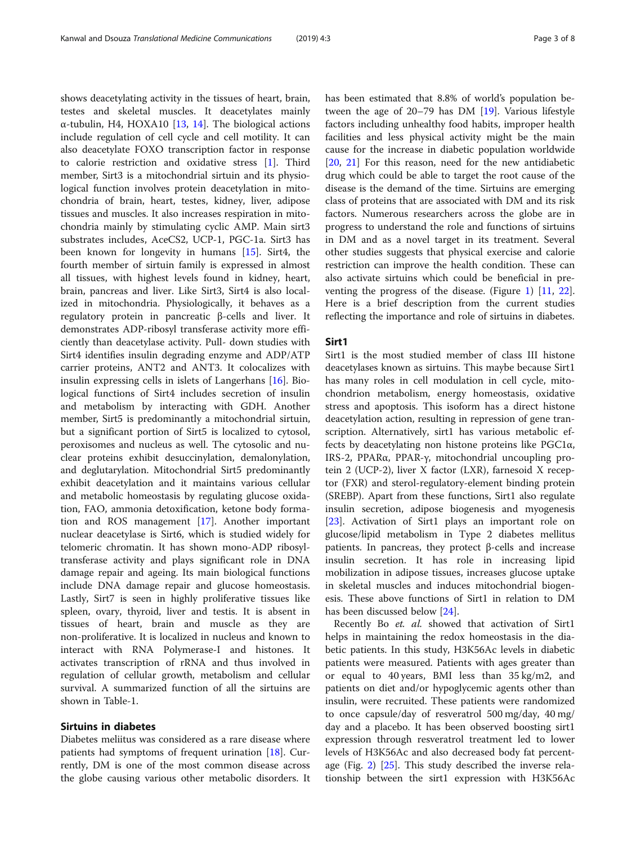shows deacetylating activity in the tissues of heart, brain, testes and skeletal muscles. It deacetylates mainly α-tubulin, H4, HOXA10 [[13,](#page-6-0) [14](#page-6-0)]. The biological actions include regulation of cell cycle and cell motility. It can also deacetylate FOXO transcription factor in response to calorie restriction and oxidative stress [[1\]](#page-6-0). Third member, Sirt3 is a mitochondrial sirtuin and its physiological function involves protein deacetylation in mitochondria of brain, heart, testes, kidney, liver, adipose tissues and muscles. It also increases respiration in mitochondria mainly by stimulating cyclic AMP. Main sirt3 substrates includes, AceCS2, UCP-1, PGC-1a. Sirt3 has been known for longevity in humans [[15\]](#page-6-0). Sirt4, the fourth member of sirtuin family is expressed in almost all tissues, with highest levels found in kidney, heart, brain, pancreas and liver. Like Sirt3, Sirt4 is also localized in mitochondria. Physiologically, it behaves as a regulatory protein in pancreatic β-cells and liver. It demonstrates ADP-ribosyl transferase activity more efficiently than deacetylase activity. Pull- down studies with Sirt4 identifies insulin degrading enzyme and ADP/ATP carrier proteins, ANT2 and ANT3. It colocalizes with insulin expressing cells in islets of Langerhans [[16\]](#page-6-0). Biological functions of Sirt4 includes secretion of insulin and metabolism by interacting with GDH. Another member, Sirt5 is predominantly a mitochondrial sirtuin, but a significant portion of Sirt5 is localized to cytosol, peroxisomes and nucleus as well. The cytosolic and nuclear proteins exhibit desuccinylation, demalonylation, and deglutarylation. Mitochondrial Sirt5 predominantly exhibit deacetylation and it maintains various cellular and metabolic homeostasis by regulating glucose oxidation, FAO, ammonia detoxification, ketone body formation and ROS management [[17\]](#page-6-0). Another important nuclear deacetylase is Sirt6, which is studied widely for telomeric chromatin. It has shown mono-ADP ribosyltransferase activity and plays significant role in DNA damage repair and ageing. Its main biological functions include DNA damage repair and glucose homeostasis. Lastly, Sirt7 is seen in highly proliferative tissues like spleen, ovary, thyroid, liver and testis. It is absent in tissues of heart, brain and muscle as they are non-proliferative. It is localized in nucleus and known to interact with RNA Polymerase-I and histones. It activates transcription of rRNA and thus involved in regulation of cellular growth, metabolism and cellular survival. A summarized function of all the sirtuins are shown in Table-1.

## Sirtuins in diabetes

Diabetes meliitus was considered as a rare disease where patients had symptoms of frequent urination [\[18](#page-6-0)]. Currently, DM is one of the most common disease across the globe causing various other metabolic disorders. It has been estimated that 8.8% of world's population between the age of 20–79 has DM [[19\]](#page-6-0). Various lifestyle factors including unhealthy food habits, improper health facilities and less physical activity might be the main cause for the increase in diabetic population worldwide [[20,](#page-7-0) [21](#page-7-0)] For this reason, need for the new antidiabetic drug which could be able to target the root cause of the disease is the demand of the time. Sirtuins are emerging class of proteins that are associated with DM and its risk factors. Numerous researchers across the globe are in progress to understand the role and functions of sirtuins in DM and as a novel target in its treatment. Several other studies suggests that physical exercise and calorie restriction can improve the health condition. These can also activate sirtuins which could be beneficial in preventing the progress of the disease. (Figure [1\)](#page-1-0) [\[11](#page-6-0), [22](#page-7-0)]. Here is a brief description from the current studies reflecting the importance and role of sirtuins in diabetes.

## Sirt1

Sirt1 is the most studied member of class III histone deacetylases known as sirtuins. This maybe because Sirt1 has many roles in cell modulation in cell cycle, mitochondrion metabolism, energy homeostasis, oxidative stress and apoptosis. This isoform has a direct histone deacetylation action, resulting in repression of gene transcription. Alternatively, sirt1 has various metabolic effects by deacetylating non histone proteins like PGC1α, IRS-2, PPARα, PPAR-γ, mitochondrial uncoupling protein 2 (UCP-2), liver X factor (LXR), farnesoid X receptor (FXR) and sterol-regulatory-element binding protein (SREBP). Apart from these functions, Sirt1 also regulate insulin secretion, adipose biogenesis and myogenesis [[23\]](#page-7-0). Activation of Sirt1 plays an important role on glucose/lipid metabolism in Type 2 diabetes mellitus patients. In pancreas, they protect β-cells and increase insulin secretion. It has role in increasing lipid mobilization in adipose tissues, increases glucose uptake in skeletal muscles and induces mitochondrial biogenesis. These above functions of Sirt1 in relation to DM has been discussed below [\[24\]](#page-7-0).

Recently Bo et. al. showed that activation of Sirt1 helps in maintaining the redox homeostasis in the diabetic patients. In this study, H3K56Ac levels in diabetic patients were measured. Patients with ages greater than or equal to 40 years, BMI less than 35 kg/m2, and patients on diet and/or hypoglycemic agents other than insulin, were recruited. These patients were randomized to once capsule/day of resveratrol 500 mg/day, 40 mg/ day and a placebo. It has been observed boosting sirt1 expression through resveratrol treatment led to lower levels of H3K56Ac and also decreased body fat percentage (Fig. [2](#page-3-0)) [[25](#page-7-0)]. This study described the inverse relationship between the sirt1 expression with H3K56Ac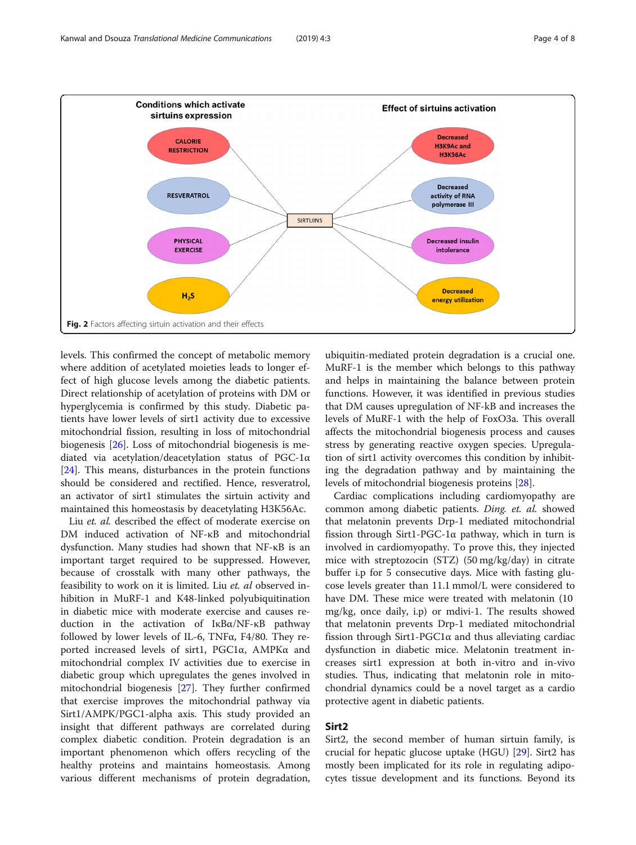<span id="page-3-0"></span>

levels. This confirmed the concept of metabolic memory where addition of acetylated moieties leads to longer effect of high glucose levels among the diabetic patients. Direct relationship of acetylation of proteins with DM or hyperglycemia is confirmed by this study. Diabetic patients have lower levels of sirt1 activity due to excessive mitochondrial fission, resulting in loss of mitochondrial biogenesis [\[26](#page-7-0)]. Loss of mitochondrial biogenesis is mediated via acetylation/deacetylation status of PGC-1α [[24\]](#page-7-0). This means, disturbances in the protein functions should be considered and rectified. Hence, resveratrol, an activator of sirt1 stimulates the sirtuin activity and maintained this homeostasis by deacetylating H3K56Ac.

Liu *et. al.* described the effect of moderate exercise on DM induced activation of NF-κB and mitochondrial dysfunction. Many studies had shown that NF-κB is an important target required to be suppressed. However, because of crosstalk with many other pathways, the feasibility to work on it is limited. Liu et. al observed inhibition in MuRF-1 and K48-linked polyubiquitination in diabetic mice with moderate exercise and causes reduction in the activation of IκBα/NF-κB pathway followed by lower levels of IL-6, TNFα, F4/80. They reported increased levels of sirt1, PGC1α, AMPKα and mitochondrial complex IV activities due to exercise in diabetic group which upregulates the genes involved in mitochondrial biogenesis [\[27](#page-7-0)]. They further confirmed that exercise improves the mitochondrial pathway via Sirt1/AMPK/PGC1-alpha axis. This study provided an insight that different pathways are correlated during complex diabetic condition. Protein degradation is an important phenomenon which offers recycling of the healthy proteins and maintains homeostasis. Among various different mechanisms of protein degradation,

ubiquitin-mediated protein degradation is a crucial one. MuRF-1 is the member which belongs to this pathway and helps in maintaining the balance between protein functions. However, it was identified in previous studies that DM causes upregulation of NF-kB and increases the levels of MuRF-1 with the help of FoxO3a. This overall affects the mitochondrial biogenesis process and causes stress by generating reactive oxygen species. Upregulation of sirt1 activity overcomes this condition by inhibiting the degradation pathway and by maintaining the levels of mitochondrial biogenesis proteins [[28](#page-7-0)].

Cardiac complications including cardiomyopathy are common among diabetic patients. Ding. et. al. showed that melatonin prevents Drp-1 mediated mitochondrial fission through Sirt1-PGC-1α pathway, which in turn is involved in cardiomyopathy. To prove this, they injected mice with streptozocin (STZ) (50 mg/kg/day) in citrate buffer i.p for 5 consecutive days. Mice with fasting glucose levels greater than 11.1 mmol/L were considered to have DM. These mice were treated with melatonin (10 mg/kg, once daily, i.p) or mdivi-1. The results showed that melatonin prevents Drp-1 mediated mitochondrial fission through Sirt1-PGC1α and thus alleviating cardiac dysfunction in diabetic mice. Melatonin treatment increases sirt1 expression at both in-vitro and in-vivo studies. Thus, indicating that melatonin role in mitochondrial dynamics could be a novel target as a cardio protective agent in diabetic patients.

## Sirt2

Sirt2, the second member of human sirtuin family, is crucial for hepatic glucose uptake (HGU) [\[29](#page-7-0)]. Sirt2 has mostly been implicated for its role in regulating adipocytes tissue development and its functions. Beyond its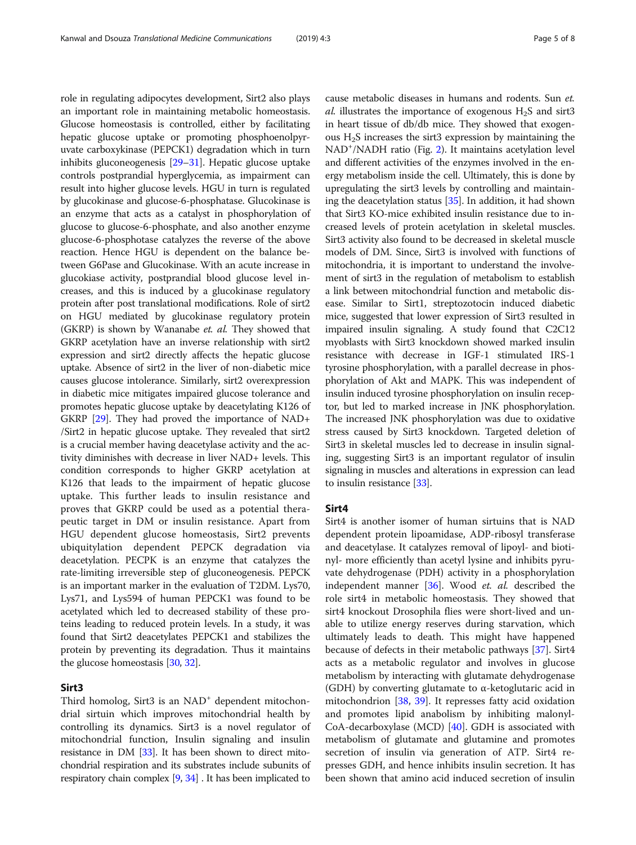role in regulating adipocytes development, Sirt2 also plays an important role in maintaining metabolic homeostasis. Glucose homeostasis is controlled, either by facilitating hepatic glucose uptake or promoting phosphoenolpyruvate carboxykinase (PEPCK1) degradation which in turn inhibits gluconeogenesis [[29](#page-7-0)–[31\]](#page-7-0). Hepatic glucose uptake controls postprandial hyperglycemia, as impairment can result into higher glucose levels. HGU in turn is regulated by glucokinase and glucose-6-phosphatase. Glucokinase is an enzyme that acts as a catalyst in phosphorylation of glucose to glucose-6-phosphate, and also another enzyme glucose-6-phosphotase catalyzes the reverse of the above reaction. Hence HGU is dependent on the balance between G6Pase and Glucokinase. With an acute increase in glucokiase activity, postprandial blood glucose level increases, and this is induced by a glucokinase regulatory protein after post translational modifications. Role of sirt2 on HGU mediated by glucokinase regulatory protein (GKRP) is shown by Wananabe et. al. They showed that GKRP acetylation have an inverse relationship with sirt2 expression and sirt2 directly affects the hepatic glucose uptake. Absence of sirt2 in the liver of non-diabetic mice causes glucose intolerance. Similarly, sirt2 overexpression in diabetic mice mitigates impaired glucose tolerance and promotes hepatic glucose uptake by deacetylating K126 of GKRP [\[29\]](#page-7-0). They had proved the importance of NAD+ /Sirt2 in hepatic glucose uptake. They revealed that sirt2 is a crucial member having deacetylase activity and the activity diminishes with decrease in liver NAD+ levels. This condition corresponds to higher GKRP acetylation at K126 that leads to the impairment of hepatic glucose uptake. This further leads to insulin resistance and proves that GKRP could be used as a potential therapeutic target in DM or insulin resistance. Apart from HGU dependent glucose homeostasis, Sirt2 prevents ubiquitylation dependent PEPCK degradation via deacetylation. PECPK is an enzyme that catalyzes the rate-limiting irreversible step of gluconeogenesis. PEPCK is an important marker in the evaluation of T2DM. Lys70, Lys71, and Lys594 of human PEPCK1 was found to be acetylated which led to decreased stability of these proteins leading to reduced protein levels. In a study, it was found that Sirt2 deacetylates PEPCK1 and stabilizes the protein by preventing its degradation. Thus it maintains the glucose homeostasis [[30](#page-7-0), [32\]](#page-7-0).

## Sirt3

Third homolog, Sirt3 is an NAD<sup>+</sup> dependent mitochondrial sirtuin which improves mitochondrial health by controlling its dynamics. Sirt3 is a novel regulator of mitochondrial function, Insulin signaling and insulin resistance in DM [\[33\]](#page-7-0). It has been shown to direct mitochondrial respiration and its substrates include subunits of respiratory chain complex [\[9,](#page-6-0) [34](#page-7-0)] . It has been implicated to cause metabolic diseases in humans and rodents. Sun et. al. illustrates the importance of exogenous  $H_2S$  and sirt3 in heart tissue of db/db mice. They showed that exogenous  $H_2S$  increases the sirt3 expression by maintaining the NAD+ /NADH ratio (Fig. [2](#page-3-0)). It maintains acetylation level and different activities of the enzymes involved in the energy metabolism inside the cell. Ultimately, this is done by upregulating the sirt3 levels by controlling and maintaining the deacetylation status [[35](#page-7-0)]. In addition, it had shown that Sirt3 KO-mice exhibited insulin resistance due to increased levels of protein acetylation in skeletal muscles. Sirt3 activity also found to be decreased in skeletal muscle models of DM. Since, Sirt3 is involved with functions of mitochondria, it is important to understand the involvement of sirt3 in the regulation of metabolism to establish a link between mitochondrial function and metabolic disease. Similar to Sirt1, streptozotocin induced diabetic mice, suggested that lower expression of Sirt3 resulted in impaired insulin signaling. A study found that C2C12 myoblasts with Sirt3 knockdown showed marked insulin resistance with decrease in IGF-1 stimulated IRS-1 tyrosine phosphorylation, with a parallel decrease in phosphorylation of Akt and MAPK. This was independent of insulin induced tyrosine phosphorylation on insulin receptor, but led to marked increase in JNK phosphorylation. The increased JNK phosphorylation was due to oxidative stress caused by Sirt3 knockdown. Targeted deletion of Sirt3 in skeletal muscles led to decrease in insulin signaling, suggesting Sirt3 is an important regulator of insulin signaling in muscles and alterations in expression can lead to insulin resistance [[33\]](#page-7-0).

## Sirt4

Sirt4 is another isomer of human sirtuins that is NAD dependent protein lipoamidase, ADP-ribosyl transferase and deacetylase. It catalyzes removal of lipoyl- and biotinyl- more efficiently than acetyl lysine and inhibits pyruvate dehydrogenase (PDH) activity in a phosphorylation independent manner [[36\]](#page-7-0). Wood et. al. described the role sirt4 in metabolic homeostasis. They showed that sirt4 knockout Drosophila flies were short-lived and unable to utilize energy reserves during starvation, which ultimately leads to death. This might have happened because of defects in their metabolic pathways [\[37](#page-7-0)]. Sirt4 acts as a metabolic regulator and involves in glucose metabolism by interacting with glutamate dehydrogenase (GDH) by converting glutamate to α-ketoglutaric acid in mitochondrion [[38,](#page-7-0) [39](#page-7-0)]. It represses fatty acid oxidation and promotes lipid anabolism by inhibiting malonyl-CoA-decarboxylase (MCD) [[40\]](#page-7-0). GDH is associated with metabolism of glutamate and glutamine and promotes secretion of insulin via generation of ATP. Sirt4 represses GDH, and hence inhibits insulin secretion. It has been shown that amino acid induced secretion of insulin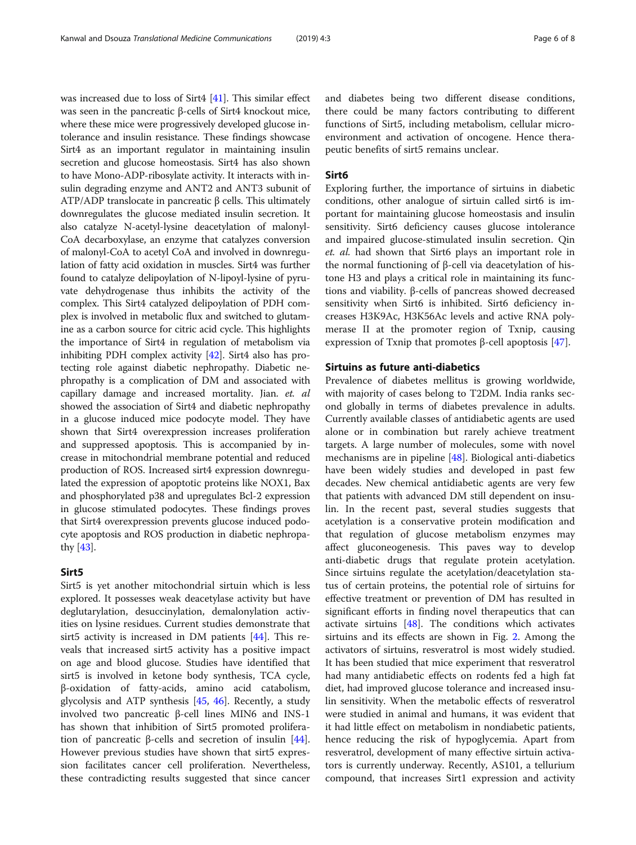was increased due to loss of Sirt4 [\[41](#page-7-0)]. This similar effect was seen in the pancreatic β-cells of Sirt4 knockout mice, where these mice were progressively developed glucose intolerance and insulin resistance. These findings showcase Sirt4 as an important regulator in maintaining insulin secretion and glucose homeostasis. Sirt4 has also shown to have Mono-ADP-ribosylate activity. It interacts with insulin degrading enzyme and ANT2 and ANT3 subunit of ATP/ADP translocate in pancreatic β cells. This ultimately downregulates the glucose mediated insulin secretion. It also catalyze N-acetyl-lysine deacetylation of malonyl-CoA decarboxylase, an enzyme that catalyzes conversion of malonyl-CoA to acetyl CoA and involved in downregulation of fatty acid oxidation in muscles. Sirt4 was further found to catalyze delipoylation of N-lipoyl-lysine of pyruvate dehydrogenase thus inhibits the activity of the complex. This Sirt4 catalyzed delipoylation of PDH complex is involved in metabolic flux and switched to glutamine as a carbon source for citric acid cycle. This highlights the importance of Sirt4 in regulation of metabolism via inhibiting PDH complex activity [[42](#page-7-0)]. Sirt4 also has protecting role against diabetic nephropathy. Diabetic nephropathy is a complication of DM and associated with capillary damage and increased mortality. Jian. et. al showed the association of Sirt4 and diabetic nephropathy in a glucose induced mice podocyte model. They have shown that Sirt4 overexpression increases proliferation and suppressed apoptosis. This is accompanied by increase in mitochondrial membrane potential and reduced production of ROS. Increased sirt4 expression downregulated the expression of apoptotic proteins like NOX1, Bax and phosphorylated p38 and upregulates Bcl-2 expression in glucose stimulated podocytes. These findings proves that Sirt4 overexpression prevents glucose induced podocyte apoptosis and ROS production in diabetic nephropathy [\[43\]](#page-7-0).

## Sirt5

Sirt5 is yet another mitochondrial sirtuin which is less explored. It possesses weak deacetylase activity but have deglutarylation, desuccinylation, demalonylation activities on lysine residues. Current studies demonstrate that sirt5 activity is increased in DM patients [\[44](#page-7-0)]. This reveals that increased sirt5 activity has a positive impact on age and blood glucose. Studies have identified that sirt5 is involved in ketone body synthesis, TCA cycle, β-oxidation of fatty-acids, amino acid catabolism, glycolysis and ATP synthesis [\[45,](#page-7-0) [46\]](#page-7-0). Recently, a study involved two pancreatic β-cell lines MIN6 and INS-1 has shown that inhibition of Sirt5 promoted prolifera-tion of pancreatic β-cells and secretion of insulin [\[44](#page-7-0)]. However previous studies have shown that sirt5 expression facilitates cancer cell proliferation. Nevertheless, these contradicting results suggested that since cancer and diabetes being two different disease conditions, there could be many factors contributing to different functions of Sirt5, including metabolism, cellular microenvironment and activation of oncogene. Hence therapeutic benefits of sirt5 remains unclear.

## Sirt6

Exploring further, the importance of sirtuins in diabetic conditions, other analogue of sirtuin called sirt6 is important for maintaining glucose homeostasis and insulin sensitivity. Sirt6 deficiency causes glucose intolerance and impaired glucose-stimulated insulin secretion. Qin et. al. had shown that Sirt6 plays an important role in the normal functioning of β-cell via deacetylation of histone H3 and plays a critical role in maintaining its functions and viability. β-cells of pancreas showed decreased sensitivity when Sirt6 is inhibited. Sirt6 deficiency increases H3K9Ac, H3K56Ac levels and active RNA polymerase II at the promoter region of Txnip, causing expression of Txnip that promotes β-cell apoptosis  $[47]$  $[47]$ .

## Sirtuins as future anti-diabetics

Prevalence of diabetes mellitus is growing worldwide, with majority of cases belong to T2DM. India ranks second globally in terms of diabetes prevalence in adults. Currently available classes of antidiabetic agents are used alone or in combination but rarely achieve treatment targets. A large number of molecules, some with novel mechanisms are in pipeline  $[48]$ . Biological anti-diabetics have been widely studies and developed in past few decades. New chemical antidiabetic agents are very few that patients with advanced DM still dependent on insulin. In the recent past, several studies suggests that acetylation is a conservative protein modification and that regulation of glucose metabolism enzymes may affect gluconeogenesis. This paves way to develop anti-diabetic drugs that regulate protein acetylation. Since sirtuins regulate the acetylation/deacetylation status of certain proteins, the potential role of sirtuins for effective treatment or prevention of DM has resulted in significant efforts in finding novel therapeutics that can activate sirtuins [\[48](#page-7-0)]. The conditions which activates sirtuins and its effects are shown in Fig. [2.](#page-3-0) Among the activators of sirtuins, resveratrol is most widely studied. It has been studied that mice experiment that resveratrol had many antidiabetic effects on rodents fed a high fat diet, had improved glucose tolerance and increased insulin sensitivity. When the metabolic effects of resveratrol were studied in animal and humans, it was evident that it had little effect on metabolism in nondiabetic patients, hence reducing the risk of hypoglycemia. Apart from resveratrol, development of many effective sirtuin activators is currently underway. Recently, AS101, a tellurium compound, that increases Sirt1 expression and activity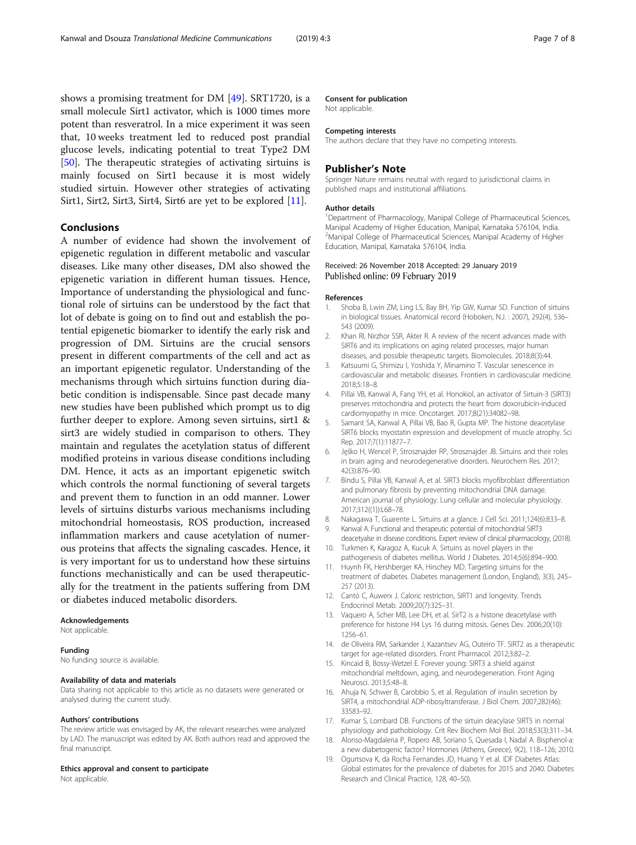<span id="page-6-0"></span>shows a promising treatment for DM [\[49](#page-7-0)]. SRT1720, is a small molecule Sirt1 activator, which is 1000 times more potent than resveratrol. In a mice experiment it was seen that, 10 weeks treatment led to reduced post prandial glucose levels, indicating potential to treat Type2 DM [[50\]](#page-7-0). The therapeutic strategies of activating sirtuins is mainly focused on Sirt1 because it is most widely studied sirtuin. However other strategies of activating Sirt1, Sirt2, Sirt3, Sirt4, Sirt6 are yet to be explored [11].

## Conclusions

A number of evidence had shown the involvement of epigenetic regulation in different metabolic and vascular diseases. Like many other diseases, DM also showed the epigenetic variation in different human tissues. Hence, Importance of understanding the physiological and functional role of sirtuins can be understood by the fact that lot of debate is going on to find out and establish the potential epigenetic biomarker to identify the early risk and progression of DM. Sirtuins are the crucial sensors present in different compartments of the cell and act as an important epigenetic regulator. Understanding of the mechanisms through which sirtuins function during diabetic condition is indispensable. Since past decade many new studies have been published which prompt us to dig further deeper to explore. Among seven sirtuins, sirt1 & sirt3 are widely studied in comparison to others. They maintain and regulates the acetylation status of different modified proteins in various disease conditions including DM. Hence, it acts as an important epigenetic switch which controls the normal functioning of several targets and prevent them to function in an odd manner. Lower levels of sirtuins disturbs various mechanisms including mitochondrial homeostasis, ROS production, increased inflammation markers and cause acetylation of numerous proteins that affects the signaling cascades. Hence, it is very important for us to understand how these sirtuins functions mechanistically and can be used therapeutically for the treatment in the patients suffering from DM or diabetes induced metabolic disorders.

#### Acknowledgements

Not applicable.

#### Funding

No funding source is available.

#### Availability of data and materials

Data sharing not applicable to this article as no datasets were generated or analysed during the current study.

#### Authors' contributions

The review article was envisaged by AK, the relevant researches were analyzed by LAD. The manuscript was edited by AK. Both authors read and approved the final manuscript.

#### Ethics approval and consent to participate

Not applicable.

#### Consent for publication

Not applicable.

#### Competing interests

The authors declare that they have no competing interests.

## Publisher's Note

Springer Nature remains neutral with regard to jurisdictional claims in published maps and institutional affiliations.

#### Author details

<sup>1</sup>Department of Pharmacology, Manipal College of Pharmaceutical Sciences, Manipal Academy of Higher Education, Manipal, Karnataka 576104, India. <sup>2</sup>Manipal College of Pharmaceutical Sciences, Manipal Academy of Higher Education, Manipal, Karnataka 576104, India.

### Received: 26 November 2018 Accepted: 29 January 2019 Published online: 09 February 2019

## References

- 1. Shoba B, Lwin ZM, Ling LS, Bay BH, Yip GW, Kumar SD. Function of sirtuins in biological tissues. Anatomical record (Hoboken, N.J. : 2007), 292(4), 536– 543 (2009).
- 2. Khan RI, Nirzhor SSR, Akter R. A review of the recent advances made with SIRT6 and its implications on aging related processes, major human diseases, and possible therapeutic targets. Biomolecules. 2018;8(3):44.
- 3. Katsuumi G, Shimizu I, Yoshida Y, Minamino T. Vascular senescence in cardiovascular and metabolic diseases. Frontiers in cardiovascular medicine. 2018;5:18–8.
- 4. Pillai VB, Kanwal A, Fang YH, et al. Honokiol, an activator of Sirtuin-3 (SIRT3) preserves mitochondria and protects the heart from doxorubicin-induced cardiomyopathy in mice. Oncotarget. 2017;8(21):34082–98.
- 5. Samant SA, Kanwal A, Pillai VB, Bao R, Gupta MP. The histone deacetylase SIRT6 blocks myostatin expression and development of muscle atrophy. Sci Rep. 2017;7(1):11877–7.
- 6. Jęśko H, Wencel P, Strosznajder RP, Strosznajder JB. Sirtuins and their roles in brain aging and neurodegenerative disorders. Neurochem Res. 2017; 42(3):876–90.
- 7. Bindu S, Pillai VB, Kanwal A, et al. SIRT3 blocks myofibroblast differentiation and pulmonary fibrosis by preventing mitochondrial DNA damage. American journal of physiology. Lung cellular and molecular physiology. 2017;312((1)):L68–78.
- 8. Nakagawa T, Guarente L. Sirtuins at a glance. J Cell Sci. 2011;124(6):833–8.
- 9. Kanwal A. Functional and therapeutic potential of mitochondrial SIRT3 deacetyalse in disease conditions. Expert review of clinical pharmacology, (2018).
- 10. Turkmen K, Karagoz A, Kucuk A. Sirtuins as novel players in the pathogenesis of diabetes mellitus. World J Diabetes. 2014;5(6):894–900.
- 11. Huynh FK, Hershberger KA, Hirschey MD. Targeting sirtuins for the treatment of diabetes. Diabetes management (London, England), 3(3), 245– 257 (2013).
- 12. Cantó C, Auwerx J. Caloric restriction, SIRT1 and longevity. Trends Endocrinol Metab. 2009;20(7):325–31.
- 13. Vaquero A, Scher MB, Lee DH, et al. SirT2 is a histone deacetylase with preference for histone H4 Lys 16 during mitosis. Genes Dev. 2006;20(10): 1256–61.
- 14. de Oliveira RM, Sarkander J, Kazantsev AG, Outeiro TF. SIRT2 as a therapeutic target for age-related disorders. Front Pharmacol. 2012;3:82–2.
- 15. Kincaid B, Bossy-Wetzel E. Forever young: SIRT3 a shield against mitochondrial meltdown, aging, and neurodegeneration. Front Aging Neurosci. 2013;5:48–8.
- 16. Ahuja N, Schwer B, Carobbio S, et al. Regulation of insulin secretion by SIRT4, a mitochondrial ADP-ribosyltransferase. J Biol Chem. 2007;282(46): 33583–92.
- 17. Kumar S, Lombard DB. Functions of the sirtuin deacylase SIRT5 in normal physiology and pathobiology. Crit Rev Biochem Mol Biol. 2018;53(3):311–34.
- 18. Alonso-Magdalena P, Ropero AB, Soriano S, Quesada I, Nadal A. Bisphenol-a: a new diabetogenic factor? Hormones (Athens, Greece), 9(2), 118–126; 2010.
- 19. Ogurtsova K, da Rocha Fernandes JD, Huang Y et al. IDF Diabetes Atlas: Global estimates for the prevalence of diabetes for 2015 and 2040. Diabetes Research and Clinical Practice, 128, 40–50).